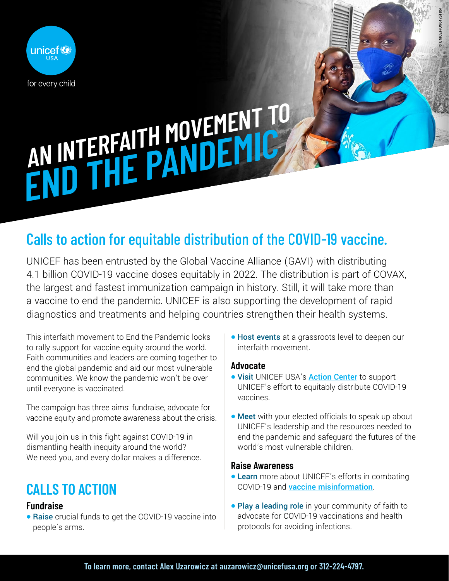

# **AN INTERFAITH MOVEMENT TO** AN INTERFAITH MUVE FAILC

## Calls to action for equitable distribution of the COVID-19 vaccine.

UNICEF has been entrusted by the Global Vaccine Alliance (GAVI) with distributing 4.1 billion COVID-19 vaccine doses equitably in 2022. The distribution is part of COVAX, the largest and fastest immunization campaign in history. Still, it will take more than a vaccine to end the pandemic. UNICEF is also supporting the development of rapid diagnostics and treatments and helping countries strengthen their health systems.

This interfaith movement to End the Pandemic looks to rally support for vaccine equity around the world. Faith communities and leaders are coming together to end the global pandemic and aid our most vulnerable communities. We know the pandemic won't be over until everyone is vaccinated.

The campaign has three aims: fundraise, advocate for vaccine equity and promote awareness about the crisis.

Will you join us in this fight against COVID-19 in dismantling health inequity around the world? We need you, and every dollar makes a difference.

# **CALLS TO ACTION**

#### **Fundraise**

• Raise crucial funds to get the COVID-19 vaccine into people's arms.

• Host events at a grassroots level to deepen our interfaith movement.

© UNICEF/UN0475185/

#### **Advocate**

- Visit UNICEF USA's **[Action Center](https://act.unicefusa.org/URCGHvv)** to support UNICEF's effort to equitably distribute COVID-19 vaccines.
- Meet with your elected officials to speak up about UNICEF's leadership and the resources needed to end the pandemic and safeguard the futures of the world's most vulnerable children.

#### **Raise Awareness**

- Learn more about UNICEF's efforts in combating COVID-19 and [vaccine misinformation](https://vaccinemisinformation.guide/).
- Play a leading role in your community of faith to advocate for COVID-19 vaccinations and health protocols for avoiding infections.